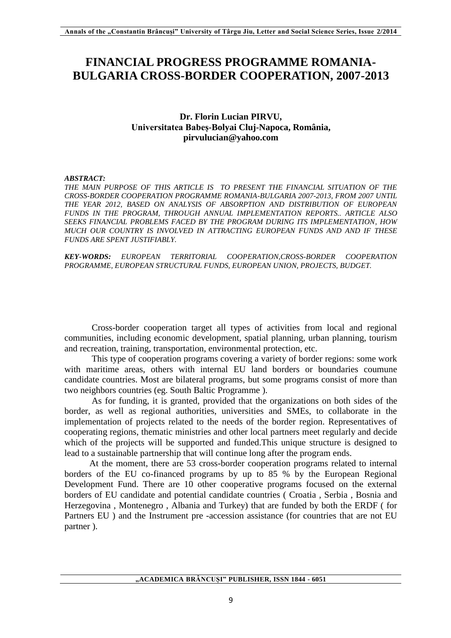# **FINANCIAL PROGRESS PROGRAMME ROMANIA-BULGARIA CROSS-BORDER COOPERATION, 2007-2013**

## **Dr. Florin Lucian PIRVU, Universitatea Babeș-Bolyai Cluj-Napoca, România, pirvulucian@yahoo.com**

#### *ABSTRACT:*

*THE MAIN PURPOSE OF THIS ARTICLE IS TO PRESENT THE FINANCIAL SITUATION OF THE CROSS-BORDER COOPERATION PROGRAMME ROMANIA-BULGARIA 2007-2013, FROM 2007 UNTIL THE YEAR 2012, BASED ON ANALYSIS OF ABSORPTION AND DISTRIBUTION OF EUROPEAN FUNDS IN THE PROGRAM, THROUGH ANNUAL IMPLEMENTATION REPORTS.. ARTICLE ALSO SEEKS FINANCIAL PROBLEMS FACED BY THE PROGRAM DURING ITS IMPLEMENTATION, HOW MUCH OUR COUNTRY IS INVOLVED IN ATTRACTING EUROPEAN FUNDS AND AND IF THESE FUNDS ARE SPENT JUSTIFIABLY.*

*KEY-WORDS: EUROPEAN TERRITORIAL COOPERATION,CROSS-BORDER COOPERATION PROGRAMME, EUROPEAN STRUCTURAL FUNDS, EUROPEAN UNION, PROJECTS, BUDGET.*

 Cross-border cooperation target all types of activities from local and regional communities, including economic development, spatial planning, urban planning, tourism and recreation, training, transportation, environmental protection, etc.

 This type of cooperation programs covering a variety of border regions: some work with maritime areas, others with internal EU land borders or boundaries coumune candidate countries. Most are bilateral programs, but some programs consist of more than two neighbors countries (eg. South Baltic Programme ).

 As for funding, it is granted, provided that the organizations on both sides of the border, as well as regional authorities, universities and SMEs, to collaborate in the implementation of projects related to the needs of the border region. Representatives of cooperating regions, thematic ministries and other local partners meet regularly and decide which of the projects will be supported and funded.This unique structure is designed to lead to a sustainable partnership that will continue long after the program ends.

 At the moment, there are 53 cross-border cooperation programs related to internal borders of the EU co-financed programs by up to 85 % by the European Regional Development Fund. There are 10 other cooperative programs focused on the external borders of EU candidate and potential candidate countries ( Croatia , Serbia , Bosnia and Herzegovina , Montenegro , Albania and Turkey) that are funded by both the ERDF ( for Partners EU ) and the Instrument pre -accession assistance (for countries that are not EU partner ).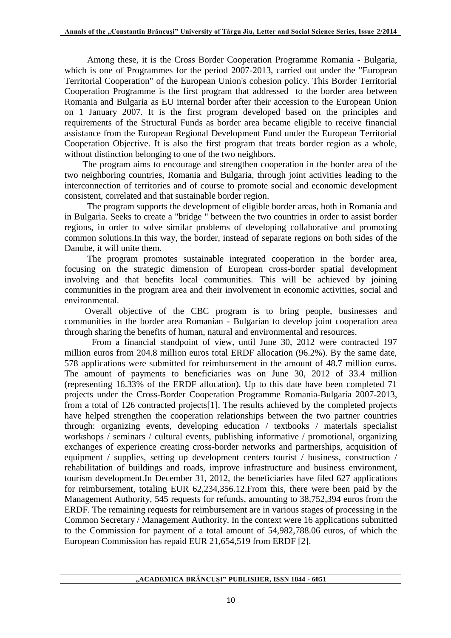Among these, it is the Cross Border Cooperation Programme Romania - Bulgaria, which is one of Programmes for the period 2007-2013, carried out under the "European Territorial Cooperation" of the European Union's cohesion policy. This Border Territorial Cooperation Programme is the first program that addressed to the border area between Romania and Bulgaria as EU internal border after their accession to the European Union on 1 January 2007. It is the first program developed based on the principles and requirements of the Structural Funds as border area became eligible to receive financial assistance from the European Regional Development Fund under the European Territorial Cooperation Objective. It is also the first program that treats border region as a whole, without distinction belonging to one of the two neighbors.

 The program aims to encourage and strengthen cooperation in the border area of the two neighboring countries, Romania and Bulgaria, through joint activities leading to the interconnection of territories and of course to promote social and economic development consistent, correlated and that sustainable border region.

 The program supports the development of eligible border areas, both in Romania and in Bulgaria. Seeks to create a "bridge " between the two countries in order to assist border regions, in order to solve similar problems of developing collaborative and promoting common solutions.In this way, the border, instead of separate regions on both sides of the Danube, it will unite them.

 The program promotes sustainable integrated cooperation in the border area, focusing on the strategic dimension of European cross-border spatial development involving and that benefits local communities. This will be achieved by joining communities in the program area and their involvement in economic activities, social and environmental.

 Overall objective of the CBC program is to bring people, businesses and communities in the border area Romanian - Bulgarian to develop joint cooperation area through sharing the benefits of human, natural and environmental and resources.

From a financial standpoint of view, until June 30, 2012 were contracted 197 million euros from 204.8 million euros total ERDF allocation (96.2%). By the same date, 578 applications were submitted for reimbursement in the amount of 48.7 million euros. The amount of payments to beneficiaries was on June 30, 2012 of 33.4 million (representing 16.33% of the ERDF allocation). Up to this date have been completed 71 projects under the Cross-Border Cooperation Programme Romania-Bulgaria 2007-2013, from a total of 126 contracted projects[1]. The results achieved by the completed projects have helped strengthen the cooperation relationships between the two partner countries through: organizing events, developing education / textbooks / materials specialist workshops / seminars / cultural events, publishing informative / promotional, organizing exchanges of experience creating cross-border networks and partnerships, acquisition of equipment / supplies, setting up development centers tourist / business, construction / rehabilitation of buildings and roads, improve infrastructure and business environment, tourism development.In December 31, 2012, the beneficiaries have filed 627 applications for reimbursement, totaling EUR 62,234,356.12.From this, there were been paid by the Management Authority, 545 requests for refunds, amounting to 38,752,394 euros from the ERDF. The remaining requests for reimbursement are in various stages of processing in the Common Secretary / Management Authority. In the context were 16 applications submitted to the Commission for payment of a total amount of 54,982,788.06 euros, of which the European Commission has repaid EUR 21,654,519 from ERDF [2].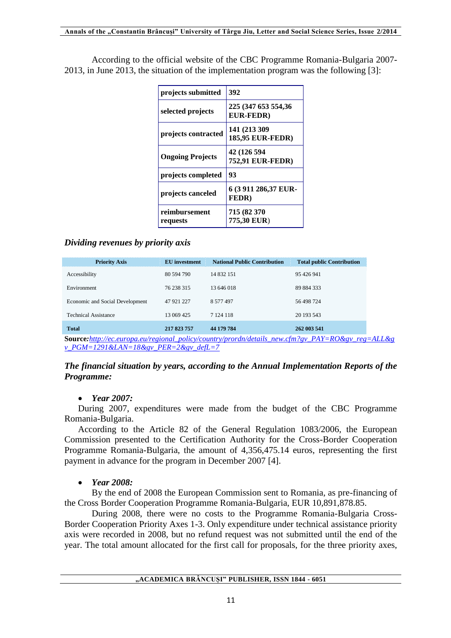According to the official website of the CBC Programme Romania-Bulgaria 2007- 2013, in June 2013, the situation of the implementation program was the following [3]:

| projects submitted        | 392                                     |  |
|---------------------------|-----------------------------------------|--|
| selected projects         | 225 (347 653 554,36<br><b>EUR-FEDR)</b> |  |
| projects contracted       | 141 (213 309)<br>185,95 EUR-FEDR)       |  |
| <b>Ongoing Projects</b>   | 42 (126 594<br><b>752,91 EUR-FEDR)</b>  |  |
| projects completed        | 93                                      |  |
| projects canceled         | 6 (3 911 286,37 EUR-<br><b>FEDR</b> )   |  |
| reimbursement<br>requests | 715 (82 370<br>775,30 EUR)              |  |

# *Dividing revenues by priority axis*

| <b>Priority Axis</b>            | EU investment | <b>National Public Contribution</b> | <b>Total public Contribution</b> |
|---------------------------------|---------------|-------------------------------------|----------------------------------|
| Accessibility                   | 80 594 790    | 14 832 151                          | 95 426 941                       |
| Environment                     | 76 238 315    | 13 646 018                          | 89 884 333                       |
| Economic and Social Development | 47 921 227    | 8 577 497                           | 56 498 724                       |
| <b>Technical Assistance</b>     | 13 069 425    | 7 1 24 1 18                         | 20 193 543                       |
| <b>Total</b>                    | 217 823 757   | 44 179 784                          | 262 003 541                      |

**Source***:[http://ec.europa.eu/regional\\_policy/country/prordn/details\\_new.cfm?gv\\_PAY=RO&gv\\_reg=ALL&g](http://ec.europa.eu/regional_policy/country/prordn/details_new.cfm?gv_PAY=RO&gv_reg=ALL&gv_PGM=1291&LAN=18&gv_PER=2&gv_defL=7) [v\\_PGM=1291&LAN=18&gv\\_PER=2&gv\\_defL=7](http://ec.europa.eu/regional_policy/country/prordn/details_new.cfm?gv_PAY=RO&gv_reg=ALL&gv_PGM=1291&LAN=18&gv_PER=2&gv_defL=7)*

## *The financial situation by years, according to the Annual Implementation Reports of the Programme:*

## *Year 2007:*

During 2007, expenditures were made from the budget of the CBC Programme Romania-Bulgaria.

According to the Article 82 of the General Regulation 1083/2006, the European Commission presented to the Certification Authority for the Cross-Border Cooperation Programme Romania-Bulgaria, the amount of 4,356,475.14 euros, representing the first payment in advance for the program in December 2007 [4].

#### *Year 2008:*

By the end of 2008 the European Commission sent to Romania, as pre-financing of the Cross Border Cooperation Programme Romania-Bulgaria, EUR 10,891,878.85.

During 2008, there were no costs to the Programme Romania-Bulgaria Cross-Border Cooperation Priority Axes 1-3. Only expenditure under technical assistance priority axis were recorded in 2008, but no refund request was not submitted until the end of the year. The total amount allocated for the first call for proposals, for the three priority axes,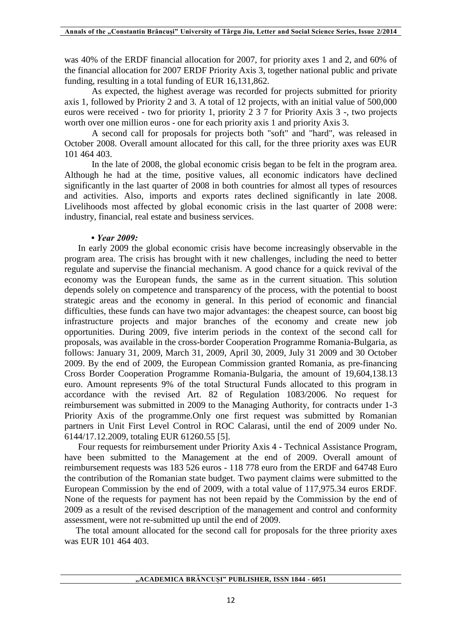was 40% of the ERDF financial allocation for 2007, for priority axes 1 and 2, and 60% of the financial allocation for 2007 ERDF Priority Axis 3, together national public and private funding, resulting in a total funding of EUR 16,131,862.

As expected, the highest average was recorded for projects submitted for priority axis 1, followed by Priority 2 and 3. A total of 12 projects, with an initial value of 500,000 euros were received - two for priority 1, priority 2 3 7 for Priority Axis 3 -, two projects worth over one million euros - one for each priority axis 1 and priority Axis 3.

A second call for proposals for projects both "soft" and "hard", was released in October 2008. Overall amount allocated for this call, for the three priority axes was EUR 101 464 403.

In the late of 2008, the global economic crisis began to be felt in the program area. Although he had at the time, positive values, all economic indicators have declined significantly in the last quarter of 2008 in both countries for almost all types of resources and activities. Also, imports and exports rates declined significantly in late 2008. Livelihoods most affected by global economic crisis in the last quarter of 2008 were: industry, financial, real estate and business services.

#### *• Year 2009:*

In early 2009 the global economic crisis have become increasingly observable in the program area. The crisis has brought with it new challenges, including the need to better regulate and supervise the financial mechanism. A good chance for a quick revival of the economy was the European funds, the same as in the current situation. This solution depends solely on competence and transparency of the process, with the potential to boost strategic areas and the economy in general. In this period of economic and financial difficulties, these funds can have two major advantages: the cheapest source, can boost big infrastructure projects and major branches of the economy and create new job opportunities. During 2009, five interim periods in the context of the second call for proposals, was available in the cross-border Cooperation Programme Romania-Bulgaria, as follows: January 31, 2009, March 31, 2009, April 30, 2009, July 31 2009 and 30 October 2009. By the end of 2009, the European Commission granted Romania, as pre-financing Cross Border Cooperation Programme Romania-Bulgaria, the amount of 19,604,138.13 euro. Amount represents 9% of the total Structural Funds allocated to this program in accordance with the revised Art. 82 of Regulation 1083/2006. No request for reimbursement was submitted in 2009 to the Managing Authority, for contracts under 1-3 Priority Axis of the programme.Only one first request was submitted by Romanian partners in Unit First Level Control in ROC Calarasi, until the end of 2009 under No. 6144/17.12.2009, totaling EUR 61260.55 [5].

Four requests for reimbursement under Priority Axis 4 - Technical Assistance Program, have been submitted to the Management at the end of 2009. Overall amount of reimbursement requests was 183 526 euros - 118 778 euro from the ERDF and 64748 Euro the contribution of the Romanian state budget. Two payment claims were submitted to the European Commission by the end of 2009, with a total value of 117,975.34 euros ERDF. None of the requests for payment has not been repaid by the Commission by the end of 2009 as a result of the revised description of the management and control and conformity assessment, were not re-submitted up until the end of 2009.

 The total amount allocated for the second call for proposals for the three priority axes was EUR 101 464 403.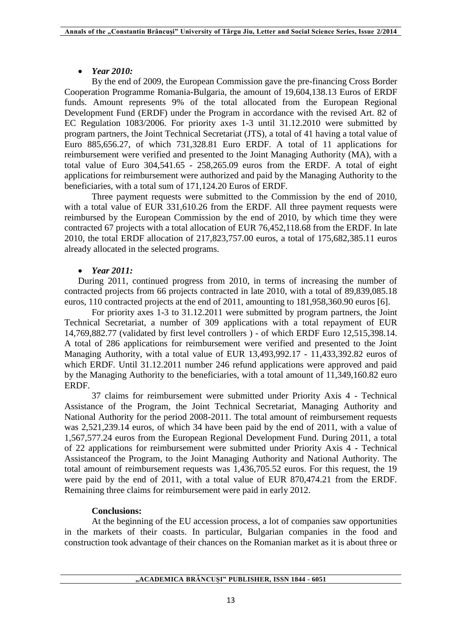## *Year 2010:*

By the end of 2009, the European Commission gave the pre-financing Cross Border Cooperation Programme Romania-Bulgaria, the amount of 19,604,138.13 Euros of ERDF funds. Amount represents 9% of the total allocated from the European Regional Development Fund (ERDF) under the Program in accordance with the revised Art. 82 of EC Regulation 1083/2006. For priority axes 1-3 until 31.12.2010 were submitted by program partners, the Joint Technical Secretariat (JTS), a total of 41 having a total value of Euro 885,656.27, of which 731,328.81 Euro ERDF. A total of 11 applications for reimbursement were verified and presented to the Joint Managing Authority (MA), with a total value of Euro 304,541.65 - 258,265.09 euros from the ERDF. A total of eight applications for reimbursement were authorized and paid by the Managing Authority to the beneficiaries, with a total sum of 171,124.20 Euros of ERDF.

Three payment requests were submitted to the Commission by the end of 2010, with a total value of EUR 331,610.26 from the ERDF. All three payment requests were reimbursed by the European Commission by the end of 2010, by which time they were contracted 67 projects with a total allocation of EUR 76,452,118.68 from the ERDF. In late 2010, the total ERDF allocation of 217,823,757.00 euros, a total of 175,682,385.11 euros already allocated in the selected programs.

## *Year 2011:*

During 2011, continued progress from 2010, in terms of increasing the number of contracted projects from 66 projects contracted in late 2010, with a total of 89,839,085.18 euros, 110 contracted projects at the end of 2011, amounting to 181,958,360.90 euros [6].

For priority axes 1-3 to 31.12.2011 were submitted by program partners, the Joint Technical Secretariat, a number of 309 applications with a total repayment of EUR 14,769,882.77 (validated by first level controllers ) - of which ERDF Euro 12,515,398.14. A total of 286 applications for reimbursement were verified and presented to the Joint Managing Authority, with a total value of EUR 13,493,992.17 - 11,433,392.82 euros of which ERDF. Until 31.12.2011 number 246 refund applications were approved and paid by the Managing Authority to the beneficiaries, with a total amount of 11,349,160.82 euro ERDF.

37 claims for reimbursement were submitted under Priority Axis 4 - Technical Assistance of the Program, the Joint Technical Secretariat, Managing Authority and National Authority for the period 2008-2011. The total amount of reimbursement requests was 2,521,239.14 euros, of which 34 have been paid by the end of 2011, with a value of 1,567,577.24 euros from the European Regional Development Fund. During 2011, a total of 22 applications for reimbursement were submitted under Priority Axis 4 - Technical Assistanceof the Program, to the Joint Managing Authority and National Authority. The total amount of reimbursement requests was 1,436,705.52 euros. For this request, the 19 were paid by the end of 2011, with a total value of EUR 870,474.21 from the ERDF. Remaining three claims for reimbursement were paid in early 2012.

## **Conclusions:**

At the beginning of the EU accession process, a lot of companies saw opportunities in the markets of their coasts. In particular, Bulgarian companies in the food and construction took advantage of their chances on the Romanian market as it is about three or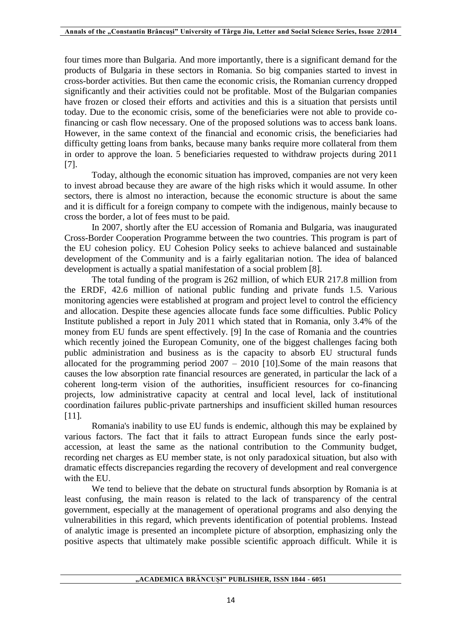four times more than Bulgaria. And more importantly, there is a significant demand for the products of Bulgaria in these sectors in Romania. So big companies started to invest in cross-border activities. But then came the economic crisis, the Romanian currency dropped significantly and their activities could not be profitable. Most of the Bulgarian companies have frozen or closed their efforts and activities and this is a situation that persists until today. Due to the economic crisis, some of the beneficiaries were not able to provide cofinancing or cash flow necessary. One of the proposed solutions was to access bank loans. However, in the same context of the financial and economic crisis, the beneficiaries had difficulty getting loans from banks, because many banks require more collateral from them in order to approve the loan. 5 beneficiaries requested to withdraw projects during 2011 [7].

Today, although the economic situation has improved, companies are not very keen to invest abroad because they are aware of the high risks which it would assume. In other sectors, there is almost no interaction, because the economic structure is about the same and it is difficult for a foreign company to compete with the indigenous, mainly because to cross the border, a lot of fees must to be paid.

In 2007, shortly after the EU accession of Romania and Bulgaria, was inaugurated Cross-Border Cooperation Programme between the two countries. This program is part of the EU cohesion policy. EU Cohesion Policy seeks to achieve balanced and sustainable development of the Community and is a fairly egalitarian notion. The idea of balanced development is actually a spatial manifestation of a social problem [8].

The total funding of the program is 262 million, of which EUR 217.8 million from the ERDF, 42.6 million of national public funding and private funds 1.5. Various monitoring agencies were established at program and project level to control the efficiency and allocation. Despite these agencies allocate funds face some difficulties. Public Policy Institute published a report in July 2011 which stated that in Romania, only 3.4% of the money from EU funds are spent effectively. [9] In the case of Romania and the countries which recently joined the European Comunity, one of the biggest challenges facing both public administration and business as is the capacity to absorb EU structural funds allocated for the programming period  $2007 - 2010$  [10]. Some of the main reasons that causes the low absorption rate financial resources are generated, in particular the lack of a coherent long-term vision of the authorities, insufficient resources for co-financing projects, low administrative capacity at central and local level, lack of institutional coordination failures public-private partnerships and insufficient skilled human resources [11]*.*

Romania's inability to use EU funds is endemic, although this may be explained by various factors. The fact that it fails to attract European funds since the early postaccession, at least the same as the national contribution to the Community budget, recording net charges as EU member state, is not only paradoxical situation, but also with dramatic effects discrepancies regarding the recovery of development and real convergence with the EU.

We tend to believe that the debate on structural funds absorption by Romania is at least confusing, the main reason is related to the lack of transparency of the central government, especially at the management of operational programs and also denying the vulnerabilities in this regard, which prevents identification of potential problems. Instead of analytic image is presented an incomplete picture of absorption, emphasizing only the positive aspects that ultimately make possible scientific approach difficult. While it is